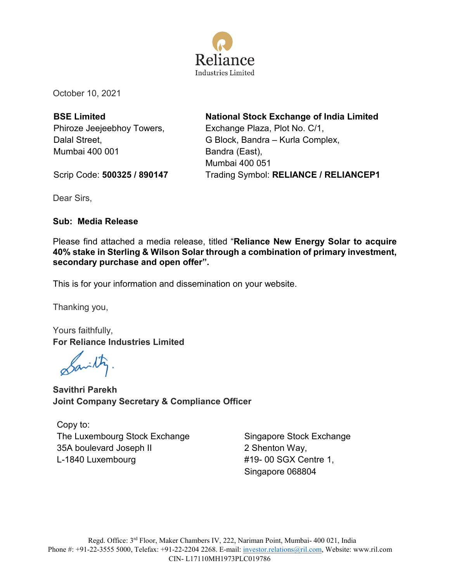

October 10, 2021

**BSE Limited** Phiroze Jeejeebhoy Towers, Dalal Street, Mumbai 400 001

**National Stock Exchange of India Limited** Exchange Plaza, Plot No. C/1, G Block, Bandra – Kurla Complex, Bandra (East), Mumbai 400 051 Trading Symbol: **RELIANCE / RELIANCEP1**

Scrip Code: **500325 / 890147**

Dear Sirs,

## **Sub: Media Release**

Please find attached a media release, titled "**Reliance New Energy Solar to acquire 40% stake in Sterling & Wilson Solar through a combination of primary investment, secondary purchase and open offer".**

This is for your information and dissemination on your website.

Thanking you,

Yours faithfully, **For Reliance Industries Limited**

بلمنه

**Savithri Parekh Joint Company Secretary & Compliance Officer**

Copy to: The Luxembourg Stock Exchange 35A boulevard Joseph II L-1840 Luxembourg

Singapore Stock Exchange 2 Shenton Way, #19- 00 SGX Centre 1, Singapore 068804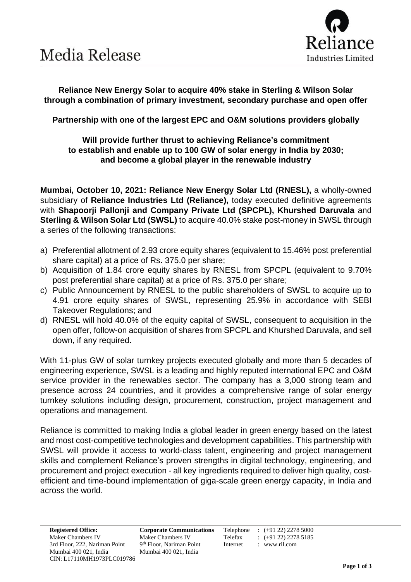

**Reliance New Energy Solar to acquire 40% stake in Sterling & Wilson Solar through a combination of primary investment, secondary purchase and open offer**

**Partnership with one of the largest EPC and O&M solutions providers globally**

### **Will provide further thrust to achieving Reliance's commitment to establish and enable up to 100 GW of solar energy in India by 2030; and become a global player in the renewable industry**

**Mumbai, October 10, 2021: Reliance New Energy Solar Ltd (RNESL),** a wholly-owned subsidiary of **Reliance Industries Ltd (Reliance),** today executed definitive agreements with **Shapoorji Pallonji and Company Private Ltd (SPCPL), Khurshed Daruvala** and **Sterling & Wilson Solar Ltd (SWSL)** to acquire 40.0% stake post-money in SWSL through a series of the following transactions:

- a) Preferential allotment of 2.93 crore equity shares (equivalent to 15.46% post preferential share capital) at a price of Rs. 375.0 per share;
- b) Acquisition of 1.84 crore equity shares by RNESL from SPCPL (equivalent to 9.70% post preferential share capital) at a price of Rs. 375.0 per share;
- c) Public Announcement by RNESL to the public shareholders of SWSL to acquire up to 4.91 crore equity shares of SWSL, representing 25.9% in accordance with SEBI Takeover Regulations; and
- d) RNESL will hold 40.0% of the equity capital of SWSL, consequent to acquisition in the open offer, follow-on acquisition of shares from SPCPL and Khurshed Daruvala, and sell down, if any required.

With 11-plus GW of solar turnkey projects executed globally and more than 5 decades of engineering experience, SWSL is a leading and highly reputed international EPC and O&M service provider in the renewables sector. The company has a 3,000 strong team and presence across 24 countries, and it provides a comprehensive range of solar energy turnkey solutions including design, procurement, construction, project management and operations and management.

Reliance is committed to making India a global leader in green energy based on the latest and most cost-competitive technologies and development capabilities. This partnership with SWSL will provide it access to world-class talent, engineering and project management skills and complement Reliance's proven strengths in digital technology, engineering, and procurement and project execution - all key ingredients required to deliver high quality, costefficient and time-bound implementation of giga-scale green energy capacity, in India and across the world.

9<sup>th</sup> Floor, Nariman Point Internet : www.ril.com

**Registered Office: Corporate Communications** Telephone : (+91 22) 2278 5000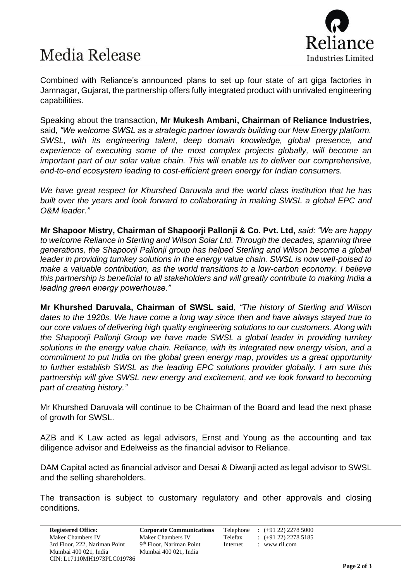# **Media Release**



Combined with Reliance's announced plans to set up four state of art giga factories in Jamnagar, Gujarat, the partnership offers fully integrated product with unrivaled engineering capabilities.

Speaking about the transaction, **Mr Mukesh Ambani, Chairman of Reliance Industries**, said, *"We welcome SWSL as a strategic partner towards building our New Energy platform. SWSL, with its engineering talent, deep domain knowledge, global presence, and experience of executing some of the most complex projects globally, will become an important part of our solar value chain. This will enable us to deliver our comprehensive, end-to-end ecosystem leading to cost-efficient green energy for Indian consumers.*

*We have great respect for Khurshed Daruvala and the world class institution that he has built over the years and look forward to collaborating in making SWSL a global EPC and O&M leader."*

**Mr Shapoor Mistry, Chairman of Shapoorji Pallonji & Co. Pvt. Ltd,** *said: "We are happy to welcome Reliance in Sterling and Wilson Solar Ltd. Through the decades, spanning three generations, the Shapoorji Pallonji group has helped Sterling and Wilson become a global leader in providing turnkey solutions in the energy value chain. SWSL is now well-poised to make a valuable contribution, as the world transitions to a low-carbon economy. I believe this partnership is beneficial to all stakeholders and will greatly contribute to making India a leading green energy powerhouse."*

**Mr Khurshed Daruvala, Chairman of SWSL said**, *"The history of Sterling and Wilson dates to the 1920s. We have come a long way since then and have always stayed true to our core values of delivering high quality engineering solutions to our customers. Along with the Shapoorji Pallonji Group we have made SWSL a global leader in providing turnkey solutions in the energy value chain. Reliance, with its integrated new energy vision, and a commitment to put India on the global green energy map, provides us a great opportunity to further establish SWSL as the leading EPC solutions provider globally. I am sure this partnership will give SWSL new energy and excitement, and we look forward to becoming part of creating history."*

Mr Khurshed Daruvala will continue to be Chairman of the Board and lead the next phase of growth for SWSL.

AZB and K Law acted as legal advisors, Ernst and Young as the accounting and tax diligence advisor and Edelweiss as the financial advisor to Reliance.

DAM Capital acted as financial advisor and Desai & Diwanji acted as legal advisor to SWSL and the selling shareholders.

The transaction is subject to customary regulatory and other approvals and closing conditions.

**Registered Office: Corporate Communications** Telephone : (+91 22) 2278 5000 9<sup>th</sup> Floor, Nariman Point Internet : www.ril.com